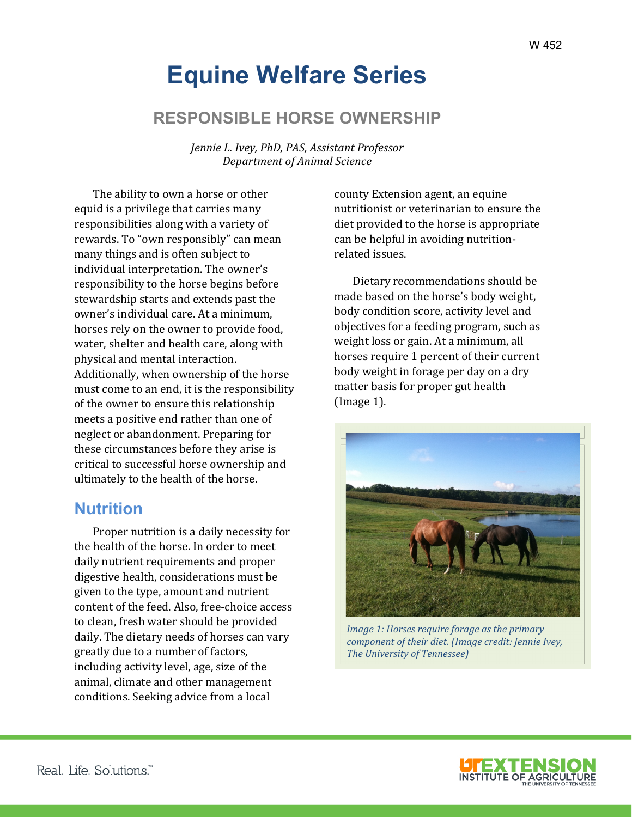# **Equine Welfare Series**

# **RESPONSIBLE HORSE OWNERSHIP**

*Jennie L. Ivey, PhD, PAS, Assistant Professor Department of Animal Science*

The ability to own a horse or other equid is a privilege that carries many responsibilities along with a variety of rewards. To "own responsibly" can mean many things and is often subject to individual interpretation. The owner's responsibility to the horse begins before stewardship starts and extends past the owner's individual care. At a minimum, horses rely on the owner to provide food, water, shelter and health care, along with physical and mental interaction. Additionally, when ownership of the horse must come to an end, it is the responsibility of the owner to ensure this relationship meets a positive end rather than one of neglect or abandonment. Preparing for these circumstances before they arise is critical to successful horse ownership and ultimately to the health of the horse.

#### **Nutrition**

Proper nutrition is a daily necessity for the health of the horse. In order to meet daily nutrient requirements and proper digestive health, considerations must be given to the type, amount and nutrient content of the feed. Also, free-choice access to clean, fresh water should be provided daily. The dietary needs of horses can vary greatly due to a number of factors, including activity level, age, size of the animal, climate and other management conditions. Seeking advice from a local

county Extension agent, an equine nutritionist or veterinarian to ensure the diet provided to the horse is appropriate can be helpful in avoiding nutritionrelated issues.

Dietary recommendations should be made based on the horse's body weight, body condition score, activity level and objectives for a feeding program, such as weight loss or gain. At a minimum, all horses require 1 percent of their current body weight in forage per day on a dry matter basis for proper gut health (Image 1).



*Image 1: Horses require forage as the primary component of their diet. (Image credit: Jennie Ivey, The University of Tennessee)*

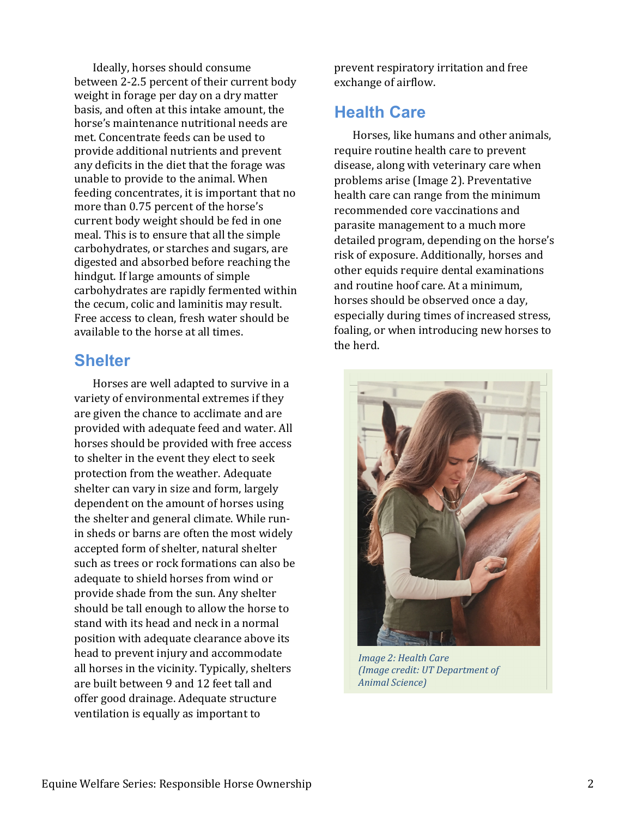Ideally, horses should consume between 2-2.5 percent of their current body weight in forage per day on a dry matter basis, and often at this intake amount, the horse's maintenance nutritional needs are met. Concentrate feeds can be used to provide additional nutrients and prevent any deficits in the diet that the forage was unable to provide to the animal. When feeding concentrates, it is important that no more than 0.75 percent of the horse's current body weight should be fed in one meal. This is to ensure that all the simple carbohydrates, or starches and sugars, are digested and absorbed before reaching the hindgut. If large amounts of simple carbohydrates are rapidly fermented within the cecum, colic and laminitis may result. Free access to clean, fresh water should be available to the horse at all times.

#### **Shelter**

Horses are well adapted to survive in a variety of environmental extremes if they are given the chance to acclimate and are provided with adequate feed and water. All horses should be provided with free access to shelter in the event they elect to seek protection from the weather. Adequate shelter can vary in size and form, largely dependent on the amount of horses using the shelter and general climate. While runin sheds or barns are often the most widely accepted form of shelter, natural shelter such as trees or rock formations can also be adequate to shield horses from wind or provide shade from the sun. Any shelter should be tall enough to allow the horse to stand with its head and neck in a normal position with adequate clearance above its head to prevent injury and accommodate all horses in the vicinity. Typically, shelters are built between 9 and 12 feet tall and offer good drainage. Adequate structure ventilation is equally as important to

prevent respiratory irritation and free exchange of airflow.

### **Health Care**

Horses, like humans and other animals, require routine health care to prevent disease, along with veterinary care when problems arise (Image 2). Preventative health care can range from the minimum recommended core vaccinations and parasite management to a much more detailed program, depending on the horse's risk of exposure. Additionally, horses and other equids require dental examinations and routine hoof care. At a minimum, horses should be observed once a day, especially during times of increased stress, foaling, or when introducing new horses to the herd.



*Image 2: Health Care (Image credit: UT Department of Animal Science)*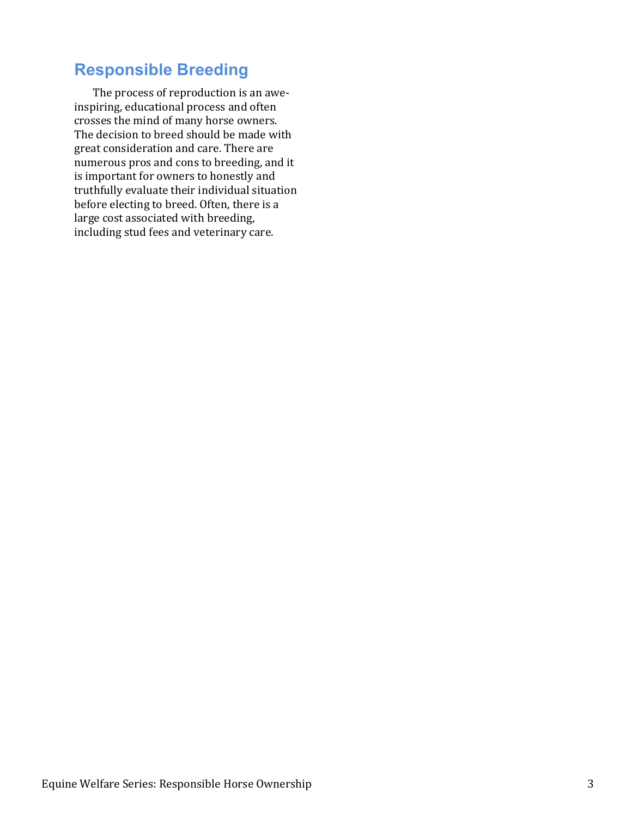# **Responsible Breeding**

The process of reproduction is an aweinspiring, educational process and often crosses the mind of many horse owners. The decision to breed should be made with great consideration and care. There are numerous pros and cons to breeding, and it is important for owners to honestly and truthfully evaluate their individual situation before electing to breed. Often, there is a large cost associated with breeding, including stud fees and veterinary care.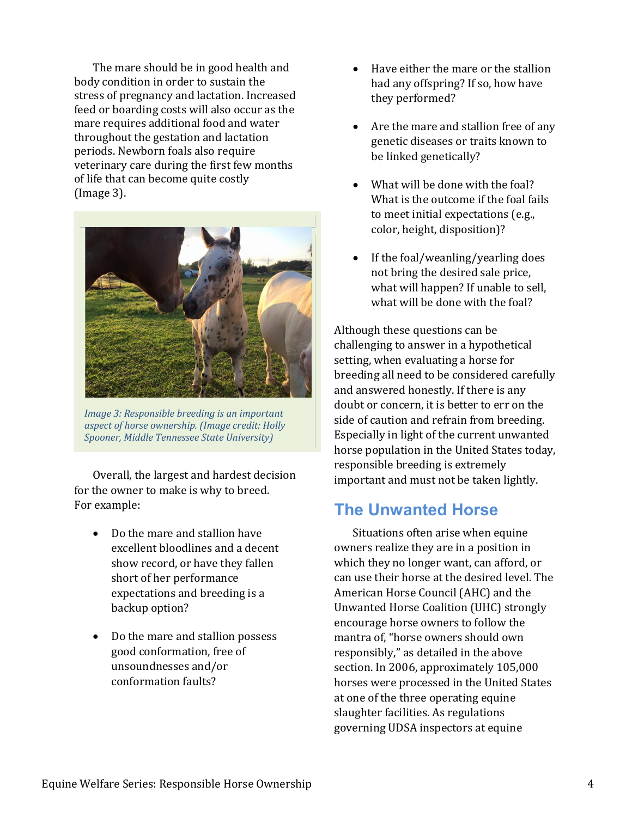The mare should be in good health and body condition in order to sustain the stress of pregnancy and lactation. Increased feed or boarding costs will also occur as the mare requires additional food and water throughout the gestation and lactation periods. Newborn foals also require veterinary care during the first few months of life that can become quite costly (Image 3).



*Image 3: Responsible breeding is an important aspect of horse ownership. (Image credit: Holly Spooner, Middle Tennessee State University)*

Overall, the largest and hardest decision for the owner to make is why to breed. For example:

- Do the mare and stallion have excellent bloodlines and a decent show record, or have they fallen short of her performance expectations and breeding is a backup option?
- Do the mare and stallion possess good conformation, free of unsoundnesses and/or conformation faults?
- Have either the mare or the stallion had any offspring? If so, how have they performed?
- Are the mare and stallion free of any genetic diseases or traits known to be linked genetically?
- What will be done with the foal? What is the outcome if the foal fails to meet initial expectations (e.g., color, height, disposition)?
- If the foal/weanling/yearling does not bring the desired sale price, what will happen? If unable to sell, what will be done with the foal?

Although these questions can be challenging to answer in a hypothetical setting, when evaluating a horse for breeding all need to be considered carefully and answered honestly. If there is any doubt or concern, it is better to err on the side of caution and refrain from breeding. Especially in light of the current unwanted horse population in the United States today, responsible breeding is extremely important and must not be taken lightly.

## **The Unwanted Horse**

Situations often arise when equine owners realize they are in a position in which they no longer want, can afford, or can use their horse at the desired level. The American Horse Council (AHC) and the Unwanted Horse Coalition (UHC) strongly encourage horse owners to follow the mantra of, "horse owners should own responsibly," as detailed in the above section. In 2006, approximately 105,000 horses were processed in the United States at one of the three operating equine slaughter facilities. As regulations governing UDSA inspectors at equine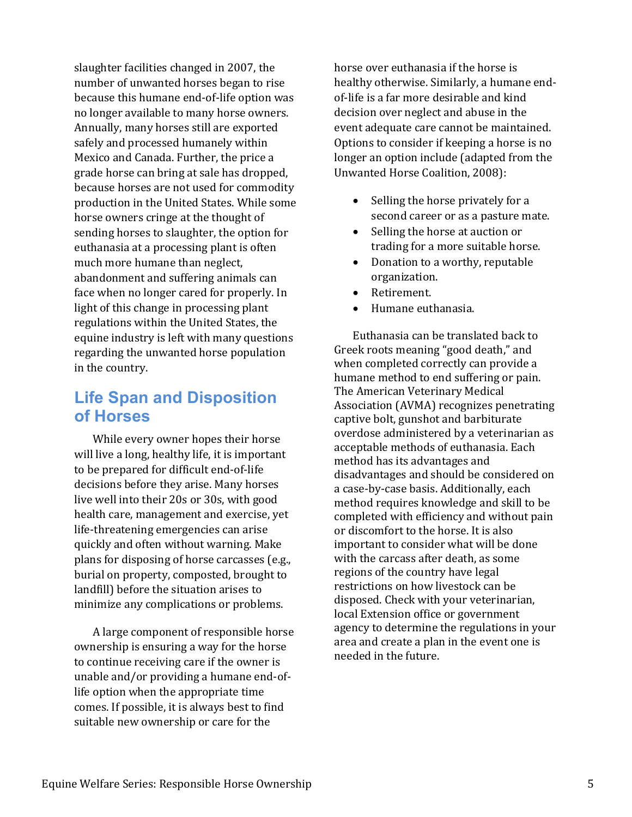slaughter facilities changed in 2007, the number of unwanted horses began to rise because this humane end-of-life option was no longer available to many horse owners. Annually, many horses still are exported safely and processed humanely within Mexico and Canada. Further, the price a grade horse can bring at sale has dropped, because horses are not used for commodity production in the United States. While some horse owners cringe at the thought of sending horses to slaughter, the option for euthanasia at a processing plant is often much more humane than neglect, abandonment and suffering animals can face when no longer cared for properly. In light of this change in processing plant regulations within the United States, the equine industry is left with many questions regarding the unwanted horse population in the country.

# **Life Span and Disposition of Horses**

While every owner hopes their horse will live a long, healthy life, it is important to be prepared for difficult end-of-life decisions before they arise. Many horses live well into their 20s or 30s, with good health care, management and exercise, yet life-threatening emergencies can arise quickly and often without warning. Make plans for disposing of horse carcasses (e.g., burial on property, composted, brought to landfill) before the situation arises to minimize any complications or problems.

A large component of responsible horse ownership is ensuring a way for the horse to continue receiving care if the owner is unable and/or providing a humane end-oflife option when the appropriate time comes. If possible, it is always best to find suitable new ownership or care for the

horse over euthanasia if the horse is healthy otherwise. Similarly, a humane endof-life is a far more desirable and kind decision over neglect and abuse in the event adequate care cannot be maintained. Options to consider if keeping a horse is no longer an option include (adapted from the Unwanted Horse Coalition, 2008):

- Selling the horse privately for a second career or as a pasture mate.
- Selling the horse at auction or trading for a more suitable horse.
- Donation to a worthy, reputable organization.
- Retirement.
- Humane euthanasia.

Euthanasia can be translated back to Greek roots meaning "good death," and when completed correctly can provide a humane method to end suffering or pain. The American Veterinary Medical Association (AVMA) recognizes penetrating captive bolt, gunshot and barbiturate overdose administered by a veterinarian as acceptable methods of euthanasia. Each method has its advantages and disadvantages and should be considered on a case-by-case basis. Additionally, each method requires knowledge and skill to be completed with efficiency and without pain or discomfort to the horse. It is also important to consider what will be done with the carcass after death, as some regions of the country have legal restrictions on how livestock can be disposed. Check with your veterinarian, local Extension office or government agency to determine the regulations in your area and create a plan in the event one is needed in the future.